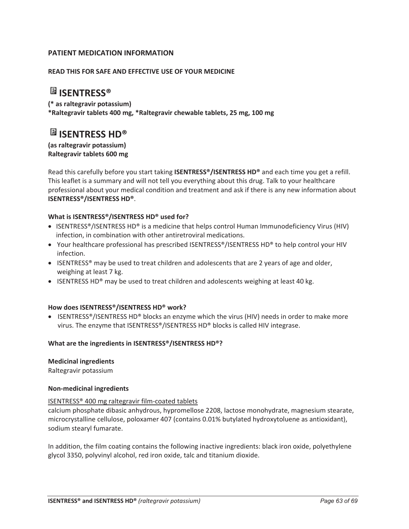# **PATIENT MEDICATION INFORMATION**

#### **READ THIS FOR SAFE AND EFFECTIVE USE OF YOUR MEDICINE**

# **ISENTRESS®**

**(\* as raltegravir potassium) \*Raltegravir tablets 400 mg, \*Raltegravir chewable tablets, 25 mg, 100 mg** 

# **ISENTRESS HD®**

**(as raltegravir potassium) Raltegravir tablets 600 mg** 

Read this carefully before you start taking **ISENTRESS®/ISENTRESS HD®** and each time you get a refill. This leaflet is a summary and will not tell you everything about this drug. Talk to your healthcare professional about your medical condition and treatment and ask if there is any new information about **ISENTRESS®/ISENTRESS HD®**.

#### **What is ISENTRESS®/ISENTRESS HD® used for?**

- ISENTRESS®/ISENTRESS HD® is a medicine that helps control Human Immunodeficiency Virus (HIV) infection, in combination with other antiretroviral medications.
- Your healthcare professional has prescribed ISENTRESS®/ISENTRESS HD® to help control your HIV infection.
- ISENTRESS® may be used to treat children and adolescents that are 2 years of age and older, weighing at least 7 kg.
- **ISENTRESS HD®** may be used to treat children and adolescents weighing at least 40 kg.

#### **How does ISENTRESS®/ISENTRESS HD® work?**

• ISENTRESS®/ISENTRESS HD® blocks an enzyme which the virus (HIV) needs in order to make more virus. The enzyme that ISENTRESS®/ISENTRESS HD® blocks is called HIV integrase.

#### **What are the ingredients in ISENTRESS®/ISENTRESS HD®?**

#### **Medicinal ingredients**

Raltegravir potassium

#### **Non-medicinal ingredients**

#### ISENTRESS® 400 mg raltegravir film-coated tablets

calcium phosphate dibasic anhydrous, hypromellose 2208, lactose monohydrate, magnesium stearate, microcrystalline cellulose, poloxamer 407 (contains 0.01% butylated hydroxytoluene as antioxidant), sodium stearyl fumarate.

In addition, the film coating contains the following inactive ingredients: black iron oxide, polyethylene glycol 3350, polyvinyl alcohol, red iron oxide, talc and titanium dioxide.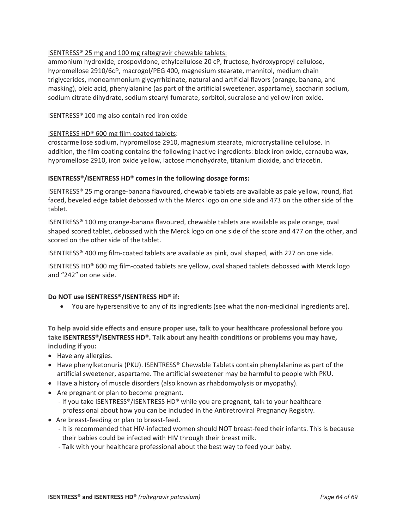# ISENTRESS® 25 mg and 100 mg raltegravir chewable tablets:

ammonium hydroxide, crospovidone, ethylcellulose 20 cP, fructose, hydroxypropyl cellulose, hypromellose 2910/6cP, macrogol/PEG 400, magnesium stearate, mannitol, medium chain triglycerides, monoammonium glycyrrhizinate, natural and artificial flavors (orange, banana, and masking), oleic acid, phenylalanine (as part of the artificial sweetener, aspartame), saccharin sodium, sodium citrate dihydrate, sodium stearyl fumarate, sorbitol, sucralose and yellow iron oxide.

# ISENTRESS® 100 mg also contain red iron oxide

# ISENTRESS HD® 600 mg film-coated tablets:

croscarmellose sodium, hypromellose 2910, magnesium stearate, microcrystalline cellulose. In addition, the film coating contains the following inactive ingredients: black iron oxide, carnauba wax, hypromellose 2910, iron oxide yellow, lactose monohydrate, titanium dioxide, and triacetin.

#### **ISENTRESS®/ISENTRESS HD® comes in the following dosage forms:**

ISENTRESS® 25 mg orange-banana flavoured, chewable tablets are available as pale yellow, round, flat faced, beveled edge tablet debossed with the Merck logo on one side and 473 on the other side of the tablet.

ISENTRESS® 100 mg orange-banana flavoured, chewable tablets are available as pale orange, oval shaped scored tablet, debossed with the Merck logo on one side of the score and 477 on the other, and scored on the other side of the tablet.

ISENTRESS® 400 mg film-coated tablets are available as pink, oval shaped, with 227 on one side.

ISENTRESS HD® 600 mg film-coated tablets are yellow, oval shaped tablets debossed with Merck logo and "242" on one side.

#### **Do NOT use ISENTRESS®/ISENTRESS HD® if:**

• You are hypersensitive to any of its ingredients (see what the non-medicinal ingredients are).

**To help avoid side effects and ensure proper use, talk to your healthcare professional before you take ISENTRESS®/ISENTRESS HD®. Talk about any health conditions or problems you may have, including if you:**

- Have any allergies.
- $\bullet$  Have phenylketonuria (PKU). ISENTRESS® Chewable Tablets contain phenylalanine as part of the artificial sweetener, aspartame. The artificial sweetener may be harmful to people with PKU.
- Have a history of muscle disorders (also known as rhabdomyolysis or myopathy).
- Are pregnant or plan to become pregnant.
	- If you take ISENTRESS®/ISENTRESS HD® while you are pregnant, talk to your healthcare professional about how you can be included in the Antiretroviral Pregnancy Registry.
- Are breast-feeding or plan to breast-feed.
	- It is recommended that HIV-infected women should NOT breast-feed their infants. This is because their babies could be infected with HIV through their breast milk.
	- Talk with your healthcare professional about the best way to feed your baby.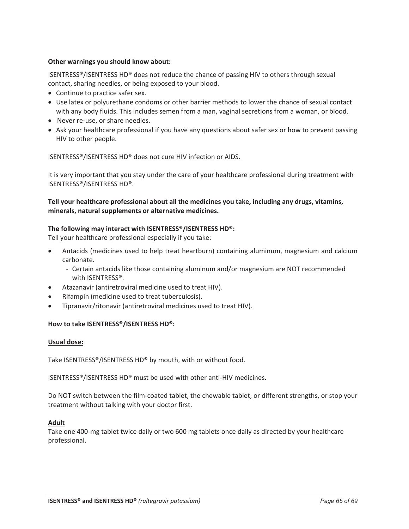#### **Other warnings you should know about:**

ISENTRESS®/ISENTRESS HD® does not reduce the chance of passing HIV to others through sexual contact, sharing needles, or being exposed to your blood.

- Continue to practice safer sex.
- Use latex or polyurethane condoms or other barrier methods to lower the chance of sexual contact with any body fluids. This includes semen from a man, vaginal secretions from a woman, or blood.
- Never re-use, or share needles.
- Ask your healthcare professional if you have any questions about safer sex or how to prevent passing HIV to other people.

ISENTRESS®/ISENTRESS HD® does not cure HIV infection or AIDS.

It is very important that you stay under the care of your healthcare professional during treatment with ISENTRESS®/ISENTRESS HD®.

**Tell your healthcare professional about all the medicines you take, including any drugs, vitamins, minerals, natural supplements or alternative medicines.**

#### **The following may interact with ISENTRESS®/ISENTRESS HD®:**

Tell your healthcare professional especially if you take:

- x Antacids (medicines used to help treat heartburn) containing aluminum, magnesium and calcium carbonate.
	- Certain antacids like those containing aluminum and/or magnesium are NOT recommended with ISENTRESS®.
- Atazanavir (antiretroviral medicine used to treat HIV).
- Rifampin (medicine used to treat tuberculosis).
- Tipranavir/ritonavir (antiretroviral medicines used to treat HIV).

#### **How to take ISENTRESS®/ISENTRESS HD®:**

#### **Usual dose:**

Take ISENTRESS®/ISENTRESS HD® by mouth, with or without food.

ISENTRESS®/ISENTRESS HD® must be used with other anti-HIV medicines.

Do NOT switch between the film-coated tablet, the chewable tablet, or different strengths, or stop your treatment without talking with your doctor first.

#### **Adult**

Take one 400-mg tablet twice daily or two 600 mg tablets once daily as directed by your healthcare professional.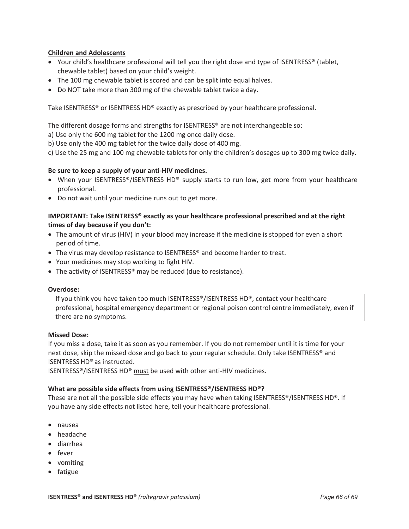#### **Children and Adolescents**

- Your child's healthcare professional will tell you the right dose and type of ISENTRESS® (tablet, chewable tablet) based on your child's weight.
- The 100 mg chewable tablet is scored and can be split into equal halves.
- Do NOT take more than 300 mg of the chewable tablet twice a day.

Take ISENTRESS® or ISENTRESS HD® exactly as prescribed by your healthcare professional.

The different dosage forms and strengths for ISENTRESS® are not interchangeable so:

a) Use only the 600 mg tablet for the 1200 mg once daily dose.

b) Use only the 400 mg tablet for the twice daily dose of 400 mg.

c) Use the 25 mg and 100 mg chewable tablets for only the children's dosages up to 300 mg twice daily.

# **Be sure to keep a supply of your anti-HIV medicines.**

- When your ISENTRESS®/ISENTRESS HD® supply starts to run low, get more from your healthcare professional.
- Do not wait until your medicine runs out to get more.

# **IMPORTANT: Take ISENTRESS® exactly as your healthcare professional prescribed and at the right times of day because if you don't:**

- The amount of virus (HIV) in your blood may increase if the medicine is stopped for even a short period of time.
- The virus may develop resistance to ISENTRESS® and become harder to treat.
- Your medicines may stop working to fight HIV.
- The activity of ISENTRESS® may be reduced (due to resistance).

#### **Overdose:**

If you think you have taken too much ISENTRESS®/ISENTRESS HD®, contact your healthcare professional, hospital emergency department or regional poison control centre immediately, even if there are no symptoms.

#### **Missed Dose:**

If you miss a dose, take it as soon as you remember. If you do not remember until it is time for your next dose, skip the missed dose and go back to your regular schedule. Only take ISENTRESS® and ISENTRESSHD® as instructed.

ISENTRESS®/ISENTRESS HD® must be used with other anti-HIV medicines.

#### **What are possible side effects from using ISENTRESS®/ISENTRESS HD®?**

These are not all the possible side effects you may have when taking ISENTRESS<sup>®</sup>/ISENTRESS HD<sup>®</sup>. If you have any side effects not listed here, tell your healthcare professional.

- nausea
- headache
- diarrhea
- $\bullet$  fever
- vomiting
- fatigue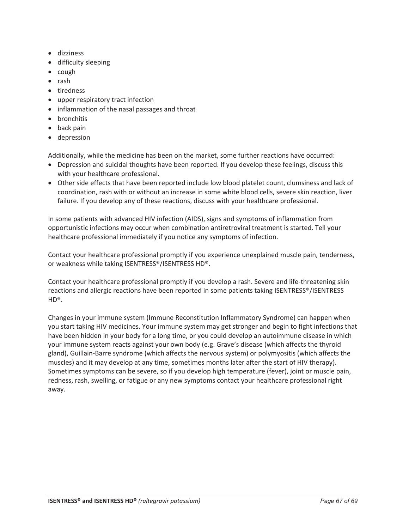- dizziness
- difficulty sleeping
- $\bullet$  cough
- $\bullet$  rash
- tiredness
- upper respiratory tract infection
- inflammation of the nasal passages and throat
- bronchitis
- $\bullet$  back pain
- depression

Additionally, while the medicine has been on the market, some further reactions have occurred:

- Depression and suicidal thoughts have been reported. If you develop these feelings, discuss this with your healthcare professional.
- Other side effects that have been reported include low blood platelet count, clumsiness and lack of coordination, rash with or without an increase in some white blood cells, severe skin reaction, liver failure. If you develop any of these reactions, discuss with your healthcare professional.

In some patients with advanced HIV infection (AIDS), signs and symptoms of inflammation from opportunistic infections may occur when combination antiretroviral treatment is started. Tell your healthcare professional immediately if you notice any symptoms of infection.

Contact your healthcare professional promptly if you experience unexplained muscle pain, tenderness, or weakness while taking ISENTRESS®/ISENTRESS HD®.

Contact your healthcare professional promptly if you develop a rash. Severe and life-threatening skin reactions and allergic reactions have been reported in some patients taking ISENTRESS®/ISENTRESS  $HD^{\circledR}$ .

Changes in your immune system (Immune Reconstitution Inflammatory Syndrome) can happen when you start taking HIV medicines. Your immune system may get stronger and begin to fight infections that have been hidden in your body for a long time, or you could develop an autoimmune disease in which your immune system reacts against your own body (e.g. Grave's disease (which affects the thyroid gland), Guillain-Barre syndrome (which affects the nervous system) or polymyositis (which affects the muscles) and it may develop at any time, sometimes months later after the start of HIV therapy). Sometimes symptoms can be severe, so if you develop high temperature (fever), joint or muscle pain, redness, rash, swelling, or fatigue or any new symptoms contact your healthcare professional right away.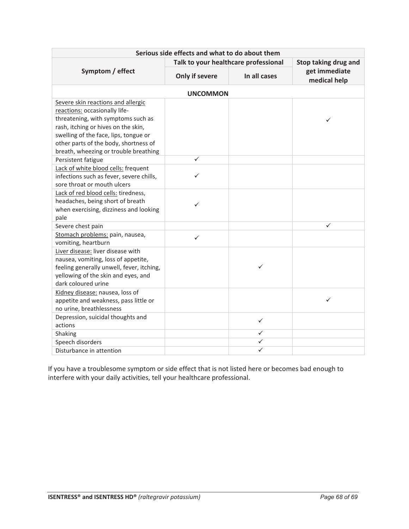| Serious side effects and what to do about them                                                                                                                                                                                                                              |                                      |              |                               |
|-----------------------------------------------------------------------------------------------------------------------------------------------------------------------------------------------------------------------------------------------------------------------------|--------------------------------------|--------------|-------------------------------|
| Symptom / effect                                                                                                                                                                                                                                                            | Talk to your healthcare professional |              | Stop taking drug and          |
|                                                                                                                                                                                                                                                                             | Only if severe                       | In all cases | get immediate<br>medical help |
| <b>UNCOMMON</b>                                                                                                                                                                                                                                                             |                                      |              |                               |
| Severe skin reactions and allergic<br>reactions: occasionally life-<br>threatening, with symptoms such as<br>rash, itching or hives on the skin,<br>swelling of the face, lips, tongue or<br>other parts of the body, shortness of<br>breath, wheezing or trouble breathing |                                      |              |                               |
| Persistent fatigue                                                                                                                                                                                                                                                          | ✓                                    |              |                               |
| Lack of white blood cells: frequent<br>infections such as fever, severe chills,<br>sore throat or mouth ulcers                                                                                                                                                              | ✓                                    |              |                               |
| Lack of red blood cells: tiredness,<br>headaches, being short of breath<br>when exercising, dizziness and looking<br>pale                                                                                                                                                   | ✓                                    |              |                               |
| Severe chest pain                                                                                                                                                                                                                                                           |                                      |              | ✓                             |
| Stomach problems: pain, nausea,<br>vomiting, heartburn                                                                                                                                                                                                                      | ✓                                    |              |                               |
| Liver disease: liver disease with<br>nausea, vomiting, loss of appetite,<br>feeling generally unwell, fever, itching,<br>yellowing of the skin and eyes, and<br>dark coloured urine                                                                                         |                                      | ✓            |                               |
| Kidney disease: nausea, loss of<br>appetite and weakness, pass little or<br>no urine, breathlessness                                                                                                                                                                        |                                      |              | ✓                             |
| Depression, suicidal thoughts and<br>actions                                                                                                                                                                                                                                |                                      | $\checkmark$ |                               |
| Shaking                                                                                                                                                                                                                                                                     |                                      | ✓            |                               |
| Speech disorders                                                                                                                                                                                                                                                            |                                      | ✓            |                               |
| Disturbance in attention                                                                                                                                                                                                                                                    |                                      |              |                               |

If you have a troublesome symptom or side effect that is not listed here or becomes bad enough to interfere with your daily activities, tell your healthcare professional.